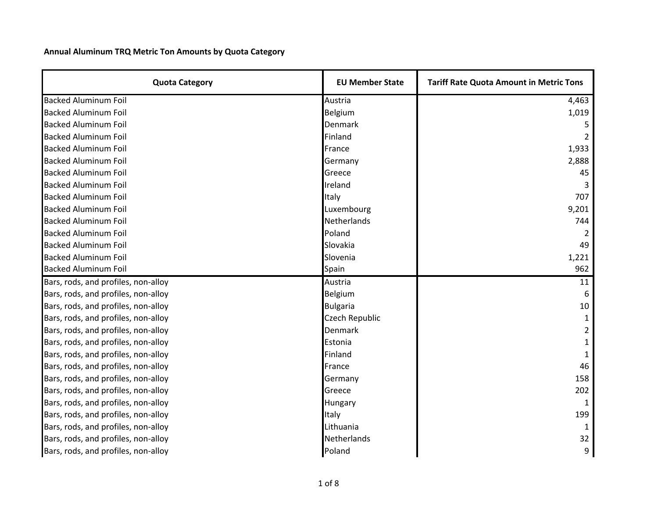**Annual Aluminum TRQ Metric Ton Amounts by Quota Category**

| <b>Quota Category</b>               | <b>EU Member State</b> | <b>Tariff Rate Quota Amount in Metric Tons</b> |
|-------------------------------------|------------------------|------------------------------------------------|
| <b>Backed Aluminum Foil</b>         | Austria                | 4,463                                          |
| <b>Backed Aluminum Foil</b>         | Belgium                | 1,019                                          |
| <b>Backed Aluminum Foil</b>         | Denmark                |                                                |
| <b>Backed Aluminum Foil</b>         | Finland                |                                                |
| <b>Backed Aluminum Foil</b>         | France                 | 1,933                                          |
| <b>Backed Aluminum Foil</b>         | Germany                | 2,888                                          |
| <b>Backed Aluminum Foil</b>         | Greece                 | 45                                             |
| <b>Backed Aluminum Foil</b>         | Ireland                |                                                |
| <b>Backed Aluminum Foil</b>         | Italy                  | 707                                            |
| <b>Backed Aluminum Foil</b>         | Luxembourg             | 9,201                                          |
| <b>Backed Aluminum Foil</b>         | Netherlands            | 744                                            |
| <b>Backed Aluminum Foil</b>         | Poland                 |                                                |
| <b>Backed Aluminum Foil</b>         | Slovakia               | 49                                             |
| <b>Backed Aluminum Foil</b>         | Slovenia               | 1,221                                          |
| <b>Backed Aluminum Foil</b>         | Spain                  | 962                                            |
| Bars, rods, and profiles, non-alloy | Austria                | 11                                             |
| Bars, rods, and profiles, non-alloy | Belgium                | 6                                              |
| Bars, rods, and profiles, non-alloy | <b>Bulgaria</b>        | 10                                             |
| Bars, rods, and profiles, non-alloy | Czech Republic         |                                                |
| Bars, rods, and profiles, non-alloy | Denmark                | 2                                              |
| Bars, rods, and profiles, non-alloy | Estonia                |                                                |
| Bars, rods, and profiles, non-alloy | Finland                |                                                |
| Bars, rods, and profiles, non-alloy | France                 | 46                                             |
| Bars, rods, and profiles, non-alloy | Germany                | 158                                            |
| Bars, rods, and profiles, non-alloy | Greece                 | 202                                            |
| Bars, rods, and profiles, non-alloy | Hungary                | $\mathbf{1}$                                   |
| Bars, rods, and profiles, non-alloy | Italy                  | 199                                            |
| Bars, rods, and profiles, non-alloy | Lithuania              |                                                |
| Bars, rods, and profiles, non-alloy | Netherlands            | 32                                             |
| Bars, rods, and profiles, non-alloy | Poland                 | 9                                              |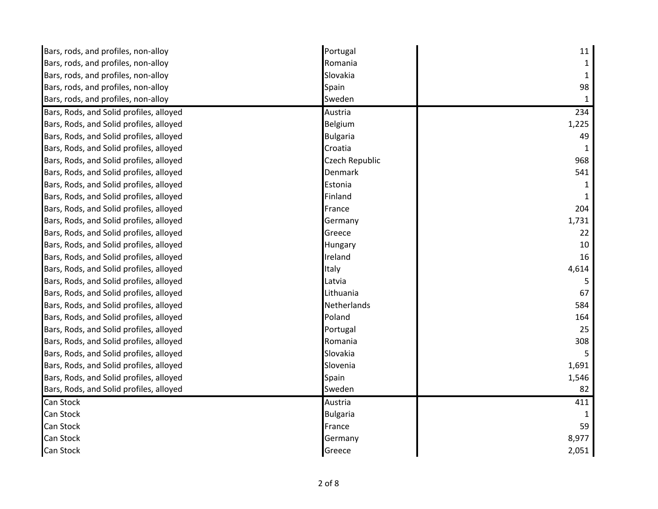| Bars, rods, and profiles, non-alloy     | Portugal        | 11           |
|-----------------------------------------|-----------------|--------------|
| Bars, rods, and profiles, non-alloy     | Romania         | 1            |
| Bars, rods, and profiles, non-alloy     | Slovakia        | $\mathbf 1$  |
| Bars, rods, and profiles, non-alloy     | Spain           | 98           |
| Bars, rods, and profiles, non-alloy     | Sweden          | $\mathbf{1}$ |
| Bars, Rods, and Solid profiles, alloyed | Austria         | 234          |
| Bars, Rods, and Solid profiles, alloyed | Belgium         | 1,225        |
| Bars, Rods, and Solid profiles, alloyed | <b>Bulgaria</b> | 49           |
| Bars, Rods, and Solid profiles, alloyed | Croatia         | 1            |
| Bars, Rods, and Solid profiles, alloyed | Czech Republic  | 968          |
| Bars, Rods, and Solid profiles, alloyed | Denmark         | 541          |
| Bars, Rods, and Solid profiles, alloyed | Estonia         |              |
| Bars, Rods, and Solid profiles, alloyed | Finland         |              |
| Bars, Rods, and Solid profiles, alloyed | France          | 204          |
| Bars, Rods, and Solid profiles, alloyed | Germany         | 1,731        |
| Bars, Rods, and Solid profiles, alloyed | Greece          | 22           |
| Bars, Rods, and Solid profiles, alloyed | Hungary         | 10           |
| Bars, Rods, and Solid profiles, alloyed | Ireland         | 16           |
| Bars, Rods, and Solid profiles, alloyed | Italy           | 4,614        |
| Bars, Rods, and Solid profiles, alloyed | Latvia          | 5            |
| Bars, Rods, and Solid profiles, alloyed | Lithuania       | 67           |
| Bars, Rods, and Solid profiles, alloyed | Netherlands     | 584          |
| Bars, Rods, and Solid profiles, alloyed | Poland          | 164          |
| Bars, Rods, and Solid profiles, alloyed | Portugal        | 25           |
| Bars, Rods, and Solid profiles, alloyed | Romania         | 308          |
| Bars, Rods, and Solid profiles, alloyed | Slovakia        | -5           |
| Bars, Rods, and Solid profiles, alloyed | Slovenia        | 1,691        |
| Bars, Rods, and Solid profiles, alloyed | Spain           | 1,546        |
| Bars, Rods, and Solid profiles, alloyed | Sweden          | 82           |
| Can Stock                               | Austria         | 411          |
| Can Stock                               | <b>Bulgaria</b> |              |
| Can Stock                               | France          | 59           |
| Can Stock                               | Germany         | 8,977        |
| Can Stock                               | Greece          | 2,051        |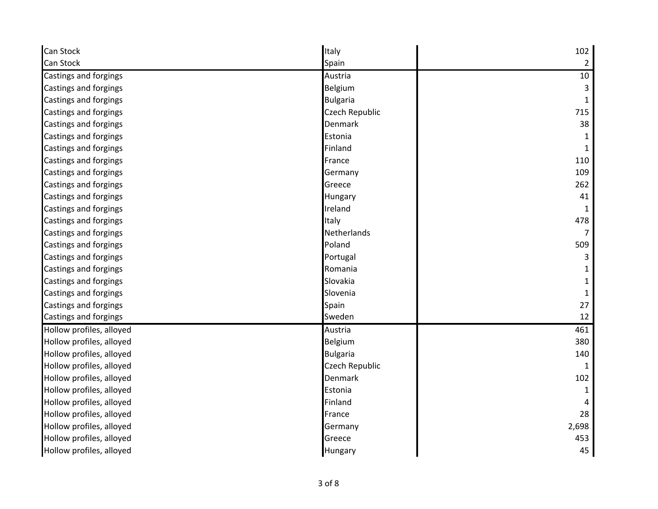| Can Stock                | Italy           | 102            |
|--------------------------|-----------------|----------------|
| Can Stock                | Spain           | $\overline{2}$ |
| Castings and forgings    | Austria         | 10             |
| Castings and forgings    | Belgium         | 3              |
| Castings and forgings    | <b>Bulgaria</b> | 1              |
| Castings and forgings    | Czech Republic  | 715            |
| Castings and forgings    | Denmark         | 38             |
| Castings and forgings    | Estonia         |                |
| Castings and forgings    | Finland         |                |
| Castings and forgings    | France          | 110            |
| Castings and forgings    | Germany         | 109            |
| Castings and forgings    | Greece          | 262            |
| Castings and forgings    | Hungary         | 41             |
| Castings and forgings    | Ireland         |                |
| Castings and forgings    | Italy           | 478            |
| Castings and forgings    | Netherlands     | 7              |
| Castings and forgings    | Poland          | 509            |
| Castings and forgings    | Portugal        | 3              |
| Castings and forgings    | Romania         |                |
| Castings and forgings    | Slovakia        |                |
| Castings and forgings    | Slovenia        |                |
| Castings and forgings    | Spain           | 27             |
| Castings and forgings    | Sweden          | 12             |
| Hollow profiles, alloyed | Austria         | 461            |
| Hollow profiles, alloyed | Belgium         | 380            |
| Hollow profiles, alloyed | <b>Bulgaria</b> | 140            |
| Hollow profiles, alloyed | Czech Republic  | 1              |
| Hollow profiles, alloyed | Denmark         | 102            |
| Hollow profiles, alloyed | Estonia         | 1              |
| Hollow profiles, alloyed | Finland         |                |
| Hollow profiles, alloyed | France          | 28             |
| Hollow profiles, alloyed | Germany         | 2,698          |
| Hollow profiles, alloyed | Greece          | 453            |
| Hollow profiles, alloyed | Hungary         | 45             |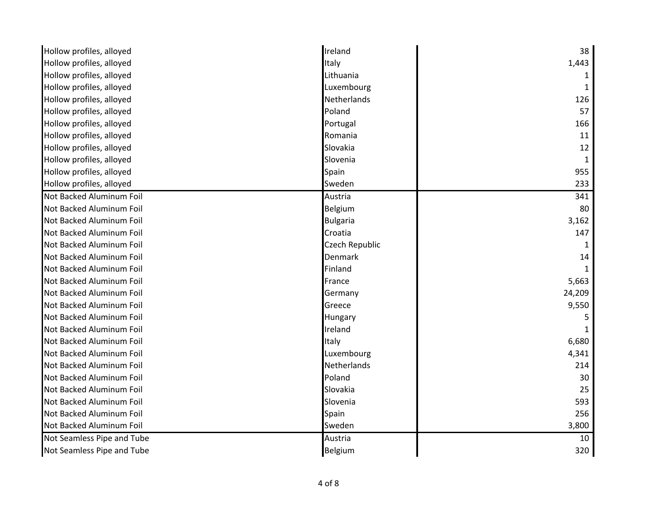| Hollow profiles, alloyed   | Ireland         | 38           |
|----------------------------|-----------------|--------------|
| Hollow profiles, alloyed   | Italy           | 1,443        |
| Hollow profiles, alloyed   | Lithuania       |              |
| Hollow profiles, alloyed   | Luxembourg      | 1            |
| Hollow profiles, alloyed   | Netherlands     | 126          |
| Hollow profiles, alloyed   | Poland          | 57           |
| Hollow profiles, alloyed   | Portugal        | 166          |
| Hollow profiles, alloyed   | Romania         | 11           |
| Hollow profiles, alloyed   | Slovakia        | 12           |
| Hollow profiles, alloyed   | Slovenia        | 1            |
| Hollow profiles, alloyed   | Spain           | 955          |
| Hollow profiles, alloyed   | Sweden          | 233          |
| Not Backed Aluminum Foil   | Austria         | 341          |
| Not Backed Aluminum Foil   | Belgium         | 80           |
| Not Backed Aluminum Foil   | <b>Bulgaria</b> | 3,162        |
| Not Backed Aluminum Foil   | Croatia         | 147          |
| Not Backed Aluminum Foil   | Czech Republic  | $\mathbf{1}$ |
| Not Backed Aluminum Foil   | Denmark         | 14           |
| Not Backed Aluminum Foil   | Finland         |              |
| Not Backed Aluminum Foil   | France          | 5,663        |
| Not Backed Aluminum Foil   | Germany         | 24,209       |
| Not Backed Aluminum Foil   | Greece          | 9,550        |
| Not Backed Aluminum Foil   | Hungary         | 5            |
| Not Backed Aluminum Foil   | Ireland         |              |
| Not Backed Aluminum Foil   | Italy           | 6,680        |
| Not Backed Aluminum Foil   | Luxembourg      | 4,341        |
| Not Backed Aluminum Foil   | Netherlands     | 214          |
| Not Backed Aluminum Foil   | Poland          | 30           |
| Not Backed Aluminum Foil   | Slovakia        | 25           |
| Not Backed Aluminum Foil   | Slovenia        | 593          |
| Not Backed Aluminum Foil   | Spain           | 256          |
| Not Backed Aluminum Foil   | Sweden          | 3,800        |
| Not Seamless Pipe and Tube | Austria         | 10           |
| Not Seamless Pipe and Tube | Belgium         | 320          |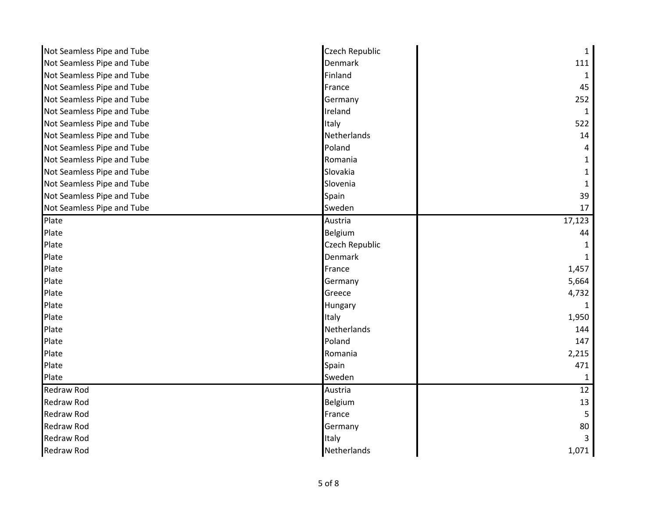| Not Seamless Pipe and Tube | Czech Republic | $\mathbf{1}$ |
|----------------------------|----------------|--------------|
| Not Seamless Pipe and Tube | Denmark        | 111          |
| Not Seamless Pipe and Tube | Finland        | 1            |
| Not Seamless Pipe and Tube | France         | 45           |
| Not Seamless Pipe and Tube | Germany        | 252          |
| Not Seamless Pipe and Tube | Ireland        | 1            |
| Not Seamless Pipe and Tube | Italy          | 522          |
|                            | Netherlands    |              |
| Not Seamless Pipe and Tube |                | 14           |
| Not Seamless Pipe and Tube | Poland         |              |
| Not Seamless Pipe and Tube | Romania        |              |
| Not Seamless Pipe and Tube | Slovakia       |              |
| Not Seamless Pipe and Tube | Slovenia       |              |
| Not Seamless Pipe and Tube | Spain          | 39           |
| Not Seamless Pipe and Tube | Sweden         | 17           |
| Plate                      | Austria        | 17,123       |
| Plate                      | Belgium        | 44           |
| Plate                      | Czech Republic |              |
| Plate                      | Denmark        |              |
| Plate                      | France         | 1,457        |
| Plate                      | Germany        | 5,664        |
| Plate                      | Greece         | 4,732        |
| Plate                      | Hungary        |              |
| Plate                      | Italy          | 1,950        |
| Plate                      | Netherlands    | 144          |
| Plate                      | Poland         | 147          |
| Plate                      | Romania        | 2,215        |
| Plate                      | Spain          | 471          |
| Plate                      | Sweden         | 1            |
| <b>Redraw Rod</b>          | Austria        | 12           |
| <b>Redraw Rod</b>          | Belgium        | 13           |
| <b>Redraw Rod</b>          | France         |              |
| <b>Redraw Rod</b>          | Germany        | 80           |
| <b>Redraw Rod</b>          | Italy          |              |
| <b>Redraw Rod</b>          | Netherlands    | 1,071        |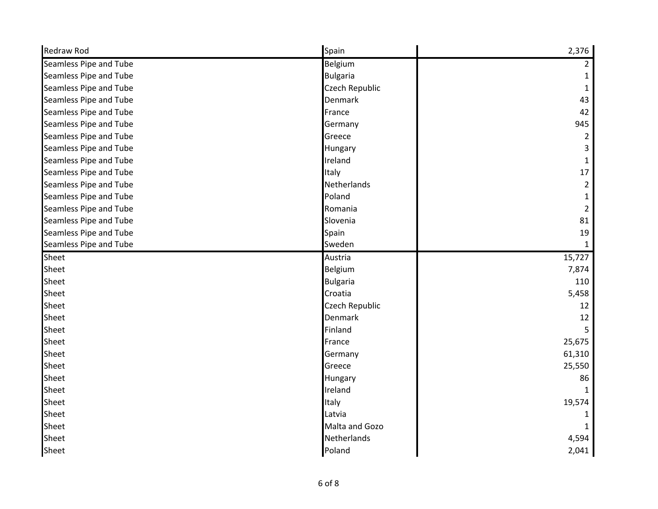| <b>Redraw Rod</b>      | Spain           | 2,376          |
|------------------------|-----------------|----------------|
| Seamless Pipe and Tube | Belgium         | $\overline{2}$ |
| Seamless Pipe and Tube | <b>Bulgaria</b> | 1              |
| Seamless Pipe and Tube | Czech Republic  | 1              |
| Seamless Pipe and Tube | Denmark         | 43             |
| Seamless Pipe and Tube | France          | 42             |
| Seamless Pipe and Tube | Germany         | 945            |
| Seamless Pipe and Tube | Greece          | $\overline{2}$ |
| Seamless Pipe and Tube | Hungary         |                |
| Seamless Pipe and Tube | Ireland         | 1              |
| Seamless Pipe and Tube | Italy           | 17             |
| Seamless Pipe and Tube | Netherlands     | 2              |
| Seamless Pipe and Tube | Poland          | 1              |
| Seamless Pipe and Tube | Romania         | 2              |
| Seamless Pipe and Tube | Slovenia        | 81             |
| Seamless Pipe and Tube | Spain           | 19             |
| Seamless Pipe and Tube | Sweden          | 1              |
| Sheet                  | Austria         | 15,727         |
| Sheet                  | Belgium         | 7,874          |
| Sheet                  | <b>Bulgaria</b> | 110            |
| Sheet                  | Croatia         | 5,458          |
| Sheet                  | Czech Republic  | 12             |
| Sheet                  | Denmark         | 12             |
| Sheet                  | Finland         | 5              |
| Sheet                  | France          | 25,675         |
| Sheet                  | Germany         | 61,310         |
| Sheet                  | Greece          | 25,550         |
| Sheet                  | Hungary         | 86             |
| Sheet                  | Ireland         |                |
| Sheet                  | Italy           | 19,574         |
| Sheet                  | Latvia          |                |
| Sheet                  |                 |                |
|                        | Malta and Gozo  |                |
| Sheet                  | Netherlands     | 4,594          |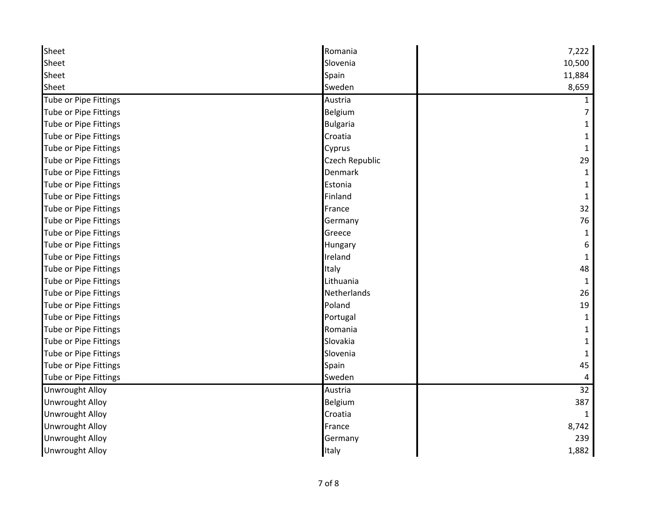| Sheet                        | Romania            | 7,222  |
|------------------------------|--------------------|--------|
| Sheet                        | Slovenia           | 10,500 |
| Sheet                        | Spain              | 11,884 |
| Sheet                        | Sweden             | 8,659  |
| <b>Tube or Pipe Fittings</b> | Austria            |        |
| Tube or Pipe Fittings        | Belgium            |        |
| Tube or Pipe Fittings        | <b>Bulgaria</b>    |        |
| <b>Tube or Pipe Fittings</b> | Croatia            |        |
| Tube or Pipe Fittings        | Cyprus             |        |
| <b>Tube or Pipe Fittings</b> | Czech Republic     | 29     |
| Tube or Pipe Fittings        | Denmark            | 1      |
| <b>Tube or Pipe Fittings</b> | Estonia            |        |
| <b>Tube or Pipe Fittings</b> | Finland            |        |
| Tube or Pipe Fittings        | France             | 32     |
| Tube or Pipe Fittings        | Germany            | 76     |
| Tube or Pipe Fittings        | Greece             | 1      |
| <b>Tube or Pipe Fittings</b> | Hungary            | 6      |
| Tube or Pipe Fittings        | Ireland            | 1      |
| <b>Tube or Pipe Fittings</b> | Italy              | 48     |
| Tube or Pipe Fittings        | Lithuania          | 1      |
| Tube or Pipe Fittings        | <b>Netherlands</b> | 26     |
| Tube or Pipe Fittings        | Poland             | 19     |
| <b>Tube or Pipe Fittings</b> | Portugal           | 1      |
| <b>Tube or Pipe Fittings</b> | Romania            |        |
| Tube or Pipe Fittings        | Slovakia           |        |
| <b>Tube or Pipe Fittings</b> | Slovenia           |        |
| <b>Tube or Pipe Fittings</b> | Spain              | 45     |
| Tube or Pipe Fittings        | Sweden             | 4      |
| <b>Unwrought Alloy</b>       | Austria            | 32     |
| <b>Unwrought Alloy</b>       | Belgium            | 387    |
| <b>Unwrought Alloy</b>       | Croatia            |        |
| Unwrought Alloy              | France             | 8,742  |
| <b>Unwrought Alloy</b>       | Germany            | 239    |
| <b>Unwrought Alloy</b>       | Italy              | 1,882  |